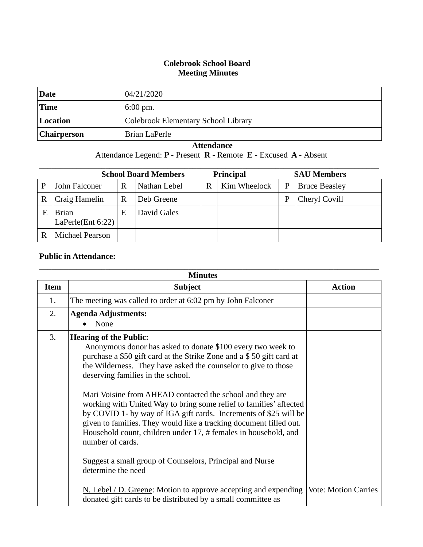## **Colebrook School Board Meeting Minutes**

| Date        | 04/21/2020                          |
|-------------|-------------------------------------|
| 'Time       | $6:00 \text{ pm}$ .                 |
| Location    | Colebrook Elementary School Library |
| Chairperson | Brian LaPerle                       |

## **Attendance**

Attendance Legend: **P -** Present **R -** Remote **E -** Excused **A -** Absent

|             | <b>School Board Members</b>       |   | <b>Principal</b> |   | <b>SAU Members</b> |   |                      |
|-------------|-----------------------------------|---|------------------|---|--------------------|---|----------------------|
|             | John Falconer                     | R | Nathan Lebel     | R | Kim Wheelock       | P | <b>Bruce Beasley</b> |
| $\mathbf R$ | Craig Hamelin                     | R | Deb Greene       |   |                    | P | Cheryl Covill        |
| E           | <b>Brian</b><br>LaPerle(Ent 6:22) | E | David Gales      |   |                    |   |                      |
|             | <b>Michael Pearson</b>            |   |                  |   |                    |   |                      |

## **Public in Attendance:**

| <b>Minutes</b> |                                                                                                                                                                                                                                                                                                                                                                                                                                                                                                                                                                                                                                                                                                                                                                                                                                                                                           |               |  |  |  |
|----------------|-------------------------------------------------------------------------------------------------------------------------------------------------------------------------------------------------------------------------------------------------------------------------------------------------------------------------------------------------------------------------------------------------------------------------------------------------------------------------------------------------------------------------------------------------------------------------------------------------------------------------------------------------------------------------------------------------------------------------------------------------------------------------------------------------------------------------------------------------------------------------------------------|---------------|--|--|--|
| <b>Item</b>    | <b>Subject</b>                                                                                                                                                                                                                                                                                                                                                                                                                                                                                                                                                                                                                                                                                                                                                                                                                                                                            | <b>Action</b> |  |  |  |
| 1.             | The meeting was called to order at 6:02 pm by John Falconer                                                                                                                                                                                                                                                                                                                                                                                                                                                                                                                                                                                                                                                                                                                                                                                                                               |               |  |  |  |
| 2.             | <b>Agenda Adjustments:</b><br>None                                                                                                                                                                                                                                                                                                                                                                                                                                                                                                                                                                                                                                                                                                                                                                                                                                                        |               |  |  |  |
| 3.             | <b>Hearing of the Public:</b><br>Anonymous donor has asked to donate \$100 every two week to<br>purchase a \$50 gift card at the Strike Zone and a \$50 gift card at<br>the Wilderness. They have asked the counselor to give to those<br>deserving families in the school.<br>Mari Voisine from AHEAD contacted the school and they are<br>working with United Way to bring some relief to families' affected<br>by COVID 1- by way of IGA gift cards. Increments of \$25 will be<br>given to families. They would like a tracking document filled out.<br>Household count, children under 17, # females in household, and<br>number of cards.<br>Suggest a small group of Counselors, Principal and Nurse<br>determine the need<br>N. Lebel / D. Greene: Motion to approve accepting and expending Vote: Motion Carries<br>donated gift cards to be distributed by a small committee as |               |  |  |  |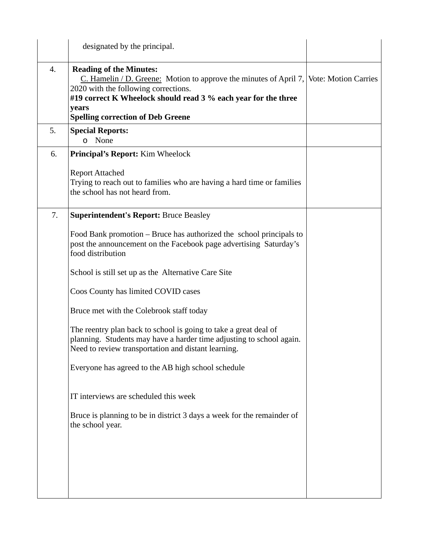|    | designated by the principal.                                                                                                                                                                                                                                                            |  |
|----|-----------------------------------------------------------------------------------------------------------------------------------------------------------------------------------------------------------------------------------------------------------------------------------------|--|
| 4. | <b>Reading of the Minutes:</b><br>C. Hamelin / D. Greene: Motion to approve the minutes of April 7, Vote: Motion Carries<br>2020 with the following corrections.<br>#19 correct K Wheelock should read 3 % each year for the three<br>years<br><b>Spelling correction of Deb Greene</b> |  |
| 5. | <b>Special Reports:</b><br>None<br>$\circ$                                                                                                                                                                                                                                              |  |
| 6. | <b>Principal's Report:</b> Kim Wheelock                                                                                                                                                                                                                                                 |  |
|    | <b>Report Attached</b><br>Trying to reach out to families who are having a hard time or families<br>the school has not heard from.                                                                                                                                                      |  |
| 7. | <b>Superintendent's Report: Bruce Beasley</b>                                                                                                                                                                                                                                           |  |
|    | Food Bank promotion – Bruce has authorized the school principals to<br>post the announcement on the Facebook page advertising Saturday's<br>food distribution                                                                                                                           |  |
|    | School is still set up as the Alternative Care Site                                                                                                                                                                                                                                     |  |
|    | Coos County has limited COVID cases                                                                                                                                                                                                                                                     |  |
|    | Bruce met with the Colebrook staff today                                                                                                                                                                                                                                                |  |
|    | The reentry plan back to school is going to take a great deal of<br>planning. Students may have a harder time adjusting to school again.<br>Need to review transportation and distant learning.                                                                                         |  |
|    | Everyone has agreed to the AB high school schedule                                                                                                                                                                                                                                      |  |
|    | IT interviews are scheduled this week                                                                                                                                                                                                                                                   |  |
|    | Bruce is planning to be in district 3 days a week for the remainder of<br>the school year.                                                                                                                                                                                              |  |
|    |                                                                                                                                                                                                                                                                                         |  |
|    |                                                                                                                                                                                                                                                                                         |  |
|    |                                                                                                                                                                                                                                                                                         |  |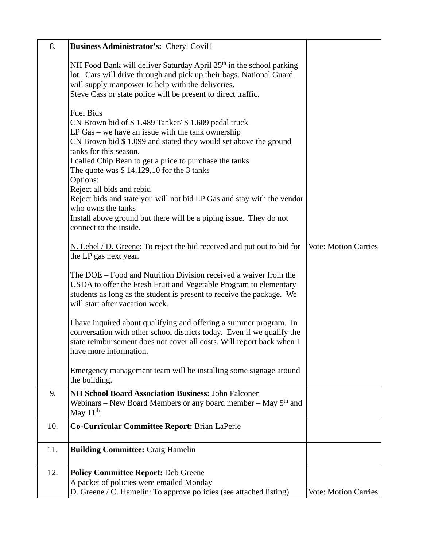| 8.  | Business Administrator's: Cheryl Covil1                                                                                                                                                                                                                                                                                                                                                                                                                                                                                                                                     |                             |
|-----|-----------------------------------------------------------------------------------------------------------------------------------------------------------------------------------------------------------------------------------------------------------------------------------------------------------------------------------------------------------------------------------------------------------------------------------------------------------------------------------------------------------------------------------------------------------------------------|-----------------------------|
|     | NH Food Bank will deliver Saturday April 25 <sup>th</sup> in the school parking<br>lot. Cars will drive through and pick up their bags. National Guard<br>will supply manpower to help with the deliveries.<br>Steve Cass or state police will be present to direct traffic.                                                                                                                                                                                                                                                                                                |                             |
|     | <b>Fuel Bids</b><br>CN Brown bid of \$1.489 Tanker/ \$1.609 pedal truck<br>LP Gas – we have an issue with the tank ownership<br>CN Brown bid \$1.099 and stated they would set above the ground<br>tanks for this season.<br>I called Chip Bean to get a price to purchase the tanks<br>The quote was $$14,129,10$ for the 3 tanks<br>Options:<br>Reject all bids and rebid<br>Reject bids and state you will not bid LP Gas and stay with the vendor<br>who owns the tanks<br>Install above ground but there will be a piping issue. They do not<br>connect to the inside. |                             |
|     | N. Lebel / D. Greene: To reject the bid received and put out to bid for<br>the LP gas next year.                                                                                                                                                                                                                                                                                                                                                                                                                                                                            | <b>Vote: Motion Carries</b> |
|     | The DOE – Food and Nutrition Division received a waiver from the<br>USDA to offer the Fresh Fruit and Vegetable Program to elementary<br>students as long as the student is present to receive the package. We<br>will start after vacation week.                                                                                                                                                                                                                                                                                                                           |                             |
|     | I have inquired about qualifying and offering a summer program. In<br>conversation with other school districts today. Even if we qualify the<br>state reimbursement does not cover all costs. Will report back when I<br>have more information.                                                                                                                                                                                                                                                                                                                             |                             |
|     | Emergency management team will be installing some signage around<br>the building.                                                                                                                                                                                                                                                                                                                                                                                                                                                                                           |                             |
| 9.  | NH School Board Association Business: John Falconer<br>Webinars – New Board Members or any board member – May $5th$ and<br>May $11th$ .                                                                                                                                                                                                                                                                                                                                                                                                                                     |                             |
| 10. | Co-Curricular Committee Report: Brian LaPerle                                                                                                                                                                                                                                                                                                                                                                                                                                                                                                                               |                             |
| 11. | <b>Building Committee: Craig Hamelin</b>                                                                                                                                                                                                                                                                                                                                                                                                                                                                                                                                    |                             |
| 12. | <b>Policy Committee Report: Deb Greene</b><br>A packet of policies were emailed Monday<br>D. Greene / C. Hamelin: To approve policies (see attached listing)                                                                                                                                                                                                                                                                                                                                                                                                                | <b>Vote: Motion Carries</b> |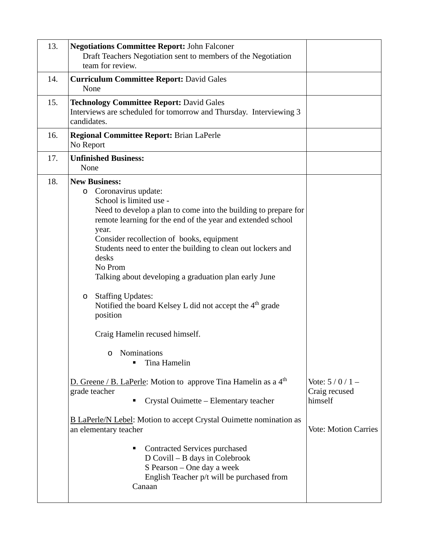| 13. | <b>Negotiations Committee Report: John Falconer</b><br>Draft Teachers Negotiation sent to members of the Negotiation<br>team for review.                                                                                                                                                                                                                                                                                                                                                                                                                                                                                                                                                                                                                                                                                                                                                                                                                                                                                |                                                                            |
|-----|-------------------------------------------------------------------------------------------------------------------------------------------------------------------------------------------------------------------------------------------------------------------------------------------------------------------------------------------------------------------------------------------------------------------------------------------------------------------------------------------------------------------------------------------------------------------------------------------------------------------------------------------------------------------------------------------------------------------------------------------------------------------------------------------------------------------------------------------------------------------------------------------------------------------------------------------------------------------------------------------------------------------------|----------------------------------------------------------------------------|
| 14. | <b>Curriculum Committee Report: David Gales</b><br>None                                                                                                                                                                                                                                                                                                                                                                                                                                                                                                                                                                                                                                                                                                                                                                                                                                                                                                                                                                 |                                                                            |
| 15. | <b>Technology Committee Report: David Gales</b><br>Interviews are scheduled for tomorrow and Thursday. Interviewing 3<br>candidates.                                                                                                                                                                                                                                                                                                                                                                                                                                                                                                                                                                                                                                                                                                                                                                                                                                                                                    |                                                                            |
| 16. | <b>Regional Committee Report: Brian LaPerle</b><br>No Report                                                                                                                                                                                                                                                                                                                                                                                                                                                                                                                                                                                                                                                                                                                                                                                                                                                                                                                                                            |                                                                            |
| 17. | <b>Unfinished Business:</b><br>None                                                                                                                                                                                                                                                                                                                                                                                                                                                                                                                                                                                                                                                                                                                                                                                                                                                                                                                                                                                     |                                                                            |
| 18. | <b>New Business:</b><br>o Coronavirus update:<br>School is limited use -<br>Need to develop a plan to come into the building to prepare for<br>remote learning for the end of the year and extended school<br>year.<br>Consider recollection of books, equipment<br>Students need to enter the building to clean out lockers and<br>desks<br>No Prom<br>Talking about developing a graduation plan early June<br><b>Staffing Updates:</b><br>$\circ$<br>Notified the board Kelsey L did not accept the 4 <sup>th</sup> grade<br>position<br>Craig Hamelin recused himself.<br>Nominations<br>$\circ$<br>Tina Hamelin<br>D. Greene / B. LaPerle: Motion to approve Tina Hamelin as a $4th$<br>grade teacher<br>Crystal Ouimette - Elementary teacher<br><b>B LaPerle/N Lebel:</b> Motion to accept Crystal Ouimette nomination as<br>an elementary teacher<br>Contracted Services purchased<br>п<br>D Covill – B days in Colebrook<br>S Pearson – One day a week<br>English Teacher p/t will be purchased from<br>Canaan | Vote: $5/0/1$ –<br>Craig recused<br>himself<br><b>Vote: Motion Carries</b> |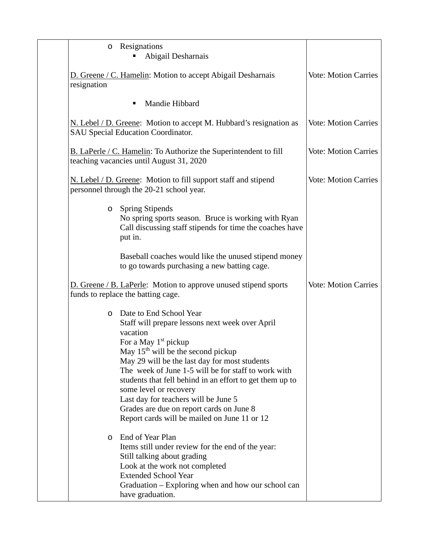| Resignations<br>$\circ$<br>Abigail Desharnais                                                                                                                                                                                                                                                                                                                                                                                                                                                             |                             |
|-----------------------------------------------------------------------------------------------------------------------------------------------------------------------------------------------------------------------------------------------------------------------------------------------------------------------------------------------------------------------------------------------------------------------------------------------------------------------------------------------------------|-----------------------------|
| D. Greene / C. Hamelin: Motion to accept Abigail Desharnais<br>resignation                                                                                                                                                                                                                                                                                                                                                                                                                                | <b>Vote: Motion Carries</b> |
| Mandie Hibbard<br>٠                                                                                                                                                                                                                                                                                                                                                                                                                                                                                       |                             |
| N. Lebel / D. Greene: Motion to accept M. Hubbard's resignation as<br>SAU Special Education Coordinator.                                                                                                                                                                                                                                                                                                                                                                                                  | <b>Vote: Motion Carries</b> |
| <b>B.</b> LaPerle / C. Hamelin: To Authorize the Superintendent to fill<br>teaching vacancies until August 31, 2020                                                                                                                                                                                                                                                                                                                                                                                       | <b>Vote: Motion Carries</b> |
| N. Lebel / D. Greene: Motion to fill support staff and stipend<br>personnel through the 20-21 school year.                                                                                                                                                                                                                                                                                                                                                                                                | <b>Vote: Motion Carries</b> |
| <b>Spring Stipends</b><br>$\circ$<br>No spring sports season. Bruce is working with Ryan<br>Call discussing staff stipends for time the coaches have<br>put in.                                                                                                                                                                                                                                                                                                                                           |                             |
| Baseball coaches would like the unused stipend money<br>to go towards purchasing a new batting cage.                                                                                                                                                                                                                                                                                                                                                                                                      |                             |
| D. Greene / B. LaPerle: Motion to approve unused stipend sports<br>funds to replace the batting cage.                                                                                                                                                                                                                                                                                                                                                                                                     | <b>Vote: Motion Carries</b> |
| Date to End School Year<br>O<br>Staff will prepare lessons next week over April<br>vacation<br>For a May 1 <sup>st</sup> pickup<br>May $15th$ will be the second pickup<br>May 29 will be the last day for most students<br>The week of June 1-5 will be for staff to work with<br>students that fell behind in an effort to get them up to<br>some level or recovery<br>Last day for teachers will be June 5<br>Grades are due on report cards on June 8<br>Report cards will be mailed on June 11 or 12 |                             |
| End of Year Plan<br>O<br>Items still under review for the end of the year:<br>Still talking about grading<br>Look at the work not completed<br><b>Extended School Year</b><br>Graduation – Exploring when and how our school can<br>have graduation.                                                                                                                                                                                                                                                      |                             |